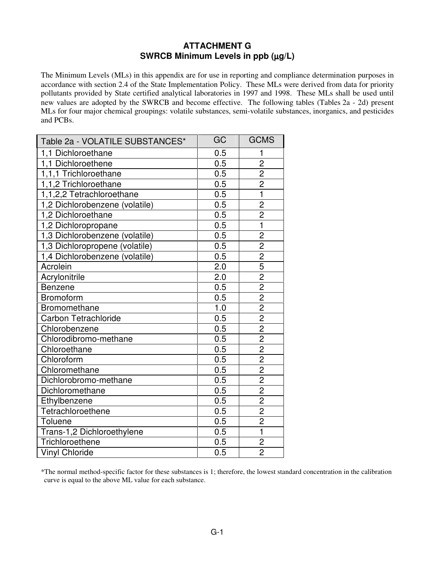## **ATTACHMENT G SWRCB Minimum Levels in ppb (**µ**g/L)**

The Minimum Levels (MLs) in this appendix are for use in reporting and compliance determination purposes in accordance with section 2.4 of the State Implementation Policy. These MLs were derived from data for priority pollutants provided by State certified analytical laboratories in 1997 and 1998. These MLs shall be used until new values are adopted by the SWRCB and become effective. The following tables (Tables 2a - 2d) present MLs for four major chemical groupings: volatile substances, semi-volatile substances, inorganics, and pesticides and PCBs.

| Table 2a - VOLATILE SUBSTANCES* | GC               | <b>GCMS</b>    |
|---------------------------------|------------------|----------------|
| 1,1 Dichloroethane              | 0.5              | 1              |
| 1,1 Dichloroethene              | 0.5              | $\overline{2}$ |
| 1,1,1 Trichloroethane           | 0.5              |                |
| 1,1,2 Trichloroethane           | 0.5              | $\frac{2}{2}$  |
| 1,1,2,2 Tetrachloroethane       | 0.5              | $\overline{1}$ |
| 1,2 Dichlorobenzene (volatile)  | 0.5              | $\overline{2}$ |
| 1,2 Dichloroethane              | 0.5              | $\overline{2}$ |
| 1,2 Dichloropropane             | 0.5              | $\overline{1}$ |
| 1,3 Dichlorobenzene (volatile)  | 0.5              | $\overline{c}$ |
| 1,3 Dichloropropene (volatile)  | 0.5              | $\overline{2}$ |
| 1,4 Dichlorobenzene (volatile)  | 0.5              | $\frac{2}{5}$  |
| Acrolein                        | 2.0              |                |
| Acrylonitrile                   | 2.0              | $\overline{2}$ |
| Benzene                         | 0.5              | $\overline{2}$ |
| Bromoform                       | 0.5              | $\overline{2}$ |
| Bromomethane                    | 1.0              | $\frac{2}{2}$  |
| Carbon Tetrachloride            | 0.5              |                |
| Chlorobenzene                   | 0.5              | $\overline{2}$ |
| Chlorodibromo-methane           | 0.5              | $\frac{2}{2}$  |
| Chloroethane                    | 0.5              |                |
| Chloroform                      | $0.\overline{5}$ | $\overline{2}$ |
| Chloromethane                   | 0.5              | $\overline{2}$ |
| Dichlorobromo-methane           | 0.5              | $\overline{2}$ |
| Dichloromethane                 | 0.5              | $\overline{2}$ |
| Ethylbenzene                    | 0.5              | $\overline{2}$ |
| Tetrachloroethene               | 0.5              | $\overline{2}$ |
| Toluene                         | 0.5              | $\overline{2}$ |
| Trans-1,2 Dichloroethylene      | 0.5              | $\overline{1}$ |
| Trichloroethene                 | 0.5              | $\overline{c}$ |
| <b>Vinyl Chloride</b>           | 0.5              | $\overline{2}$ |

\*The normal method-specific factor for these substances is 1; therefore, the lowest standard concentration in the calibration curve is equal to the above ML value for each substance.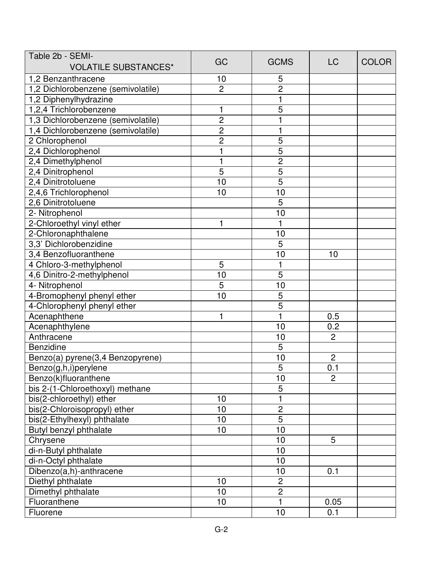| Table 2b - SEMI-                   |                |                |                |              |
|------------------------------------|----------------|----------------|----------------|--------------|
| <b>VOLATILE SUBSTANCES*</b>        | GC             | <b>GCMS</b>    | <b>LC</b>      | <b>COLOR</b> |
| 1,2 Benzanthracene                 | 10             | 5              |                |              |
| 1,2 Dichlorobenzene (semivolatile) | $\overline{2}$ | $\overline{2}$ |                |              |
| 1,2 Diphenylhydrazine              |                | 1              |                |              |
| 1,2,4 Trichlorobenzene             |                | 5              |                |              |
| 1,3 Dichlorobenzene (semivolatile) | $\overline{c}$ |                |                |              |
| 1,4 Dichlorobenzene (semivolatile) | $\overline{c}$ | 1              |                |              |
| 2 Chlorophenol                     | $\overline{c}$ | 5              |                |              |
| 2,4 Dichlorophenol                 |                | $\overline{5}$ |                |              |
| 2,4 Dimethylphenol                 |                | $\overline{c}$ |                |              |
| 2,4 Dinitrophenol                  | 5              | $\overline{5}$ |                |              |
| 2,4 Dinitrotoluene                 | 10             | $\overline{5}$ |                |              |
| 2,4,6 Trichlorophenol              | 10             | 10             |                |              |
| 2,6 Dinitrotoluene                 |                | 5              |                |              |
| 2- Nitrophenol                     |                | 10             |                |              |
| 2-Chloroethyl vinyl ether          | 1              | 1              |                |              |
| 2-Chloronaphthalene                |                | 10             |                |              |
| 3,3' Dichlorobenzidine             |                | 5              |                |              |
| 3,4 Benzofluoranthene              |                | 10             | 10             |              |
| 4 Chloro-3-methylphenol            | 5              | 1              |                |              |
| 4,6 Dinitro-2-methylphenol         | 10             | 5              |                |              |
| 4- Nitrophenol                     | 5              | 10             |                |              |
| 4-Bromophenyl phenyl ether         | 10             | 5              |                |              |
| 4-Chlorophenyl phenyl ether        |                | 5              |                |              |
| Acenaphthene                       | 1              | 1              | 0.5            |              |
| Acenaphthylene                     |                | 10             | 0.2            |              |
| Anthracene                         |                | 10             | $\overline{2}$ |              |
| Benzidine                          |                | 5              |                |              |
| Benzo(a) pyrene(3,4 Benzopyrene)   |                | 10             | $\overline{c}$ |              |
| Benzo(g,h,i)perylene               |                | 5              | 0.1            |              |
| Benzo(k)fluoranthene               |                | 10             | $\overline{2}$ |              |
| bis 2-(1-Chloroethoxyl) methane    |                | 5              |                |              |
| bis(2-chloroethyl) ether           | 10             | 1              |                |              |
| bis(2-Chloroisopropyl) ether       | 10             | $\overline{c}$ |                |              |
| bis(2-Ethylhexyl) phthalate        | 10             | 5              |                |              |
| Butyl benzyl phthalate             | 10             | 10             |                |              |
| Chrysene                           |                | 10             | 5              |              |
| di-n-Butyl phthalate               |                | 10             |                |              |
| di-n-Octyl phthalate               |                | 10             |                |              |
| Dibenzo(a,h)-anthracene            |                | 10             | 0.1            |              |
| Diethyl phthalate                  | 10             | $\overline{c}$ |                |              |
| Dimethyl phthalate                 | 10             | $\overline{c}$ |                |              |
| Fluoranthene                       | 10             | 1              | 0.05           |              |
| Fluorene                           |                | 10             | 0.1            |              |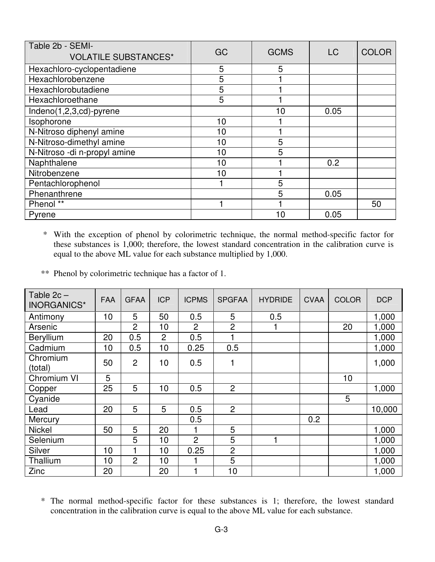| Table 2b - SEMI-<br><b>VOLATILE SUBSTANCES*</b> | GC | <b>GCMS</b> | <b>LC</b> | <b>COLOR</b> |
|-------------------------------------------------|----|-------------|-----------|--------------|
| Hexachloro-cyclopentadiene                      | 5  | 5           |           |              |
| Hexachlorobenzene                               | 5  |             |           |              |
| Hexachlorobutadiene                             | 5  |             |           |              |
| Hexachloroethane                                | 5  |             |           |              |
| Indeno(1,2,3,cd)-pyrene                         |    | 10          | 0.05      |              |
| Isophorone                                      | 10 |             |           |              |
| N-Nitroso diphenyl amine                        | 10 |             |           |              |
| N-Nitroso-dimethyl amine                        | 10 | 5           |           |              |
| N-Nitroso -di n-propyl amine                    | 10 | 5           |           |              |
| Naphthalene                                     | 10 |             | 0.2       |              |
| Nitrobenzene                                    | 10 |             |           |              |
| Pentachlorophenol                               |    | 5           |           |              |
| Phenanthrene                                    |    | 5           | 0.05      |              |
| Phenol **                                       |    |             |           | 50           |
| Pyrene                                          |    | 10          | 0.05      |              |

 \* With the exception of phenol by colorimetric technique, the normal method-specific factor for these substances is 1,000; therefore, the lowest standard concentration in the calibration curve is equal to the above ML value for each substance multiplied by 1,000.

\*\* Phenol by colorimetric technique has a factor of 1.

| Table $2c -$<br>INORGANICS* | <b>FAA</b> | <b>GFAA</b>    | <b>ICP</b>     | <b>ICPMS</b>   | <b>SPGFAA</b>  | <b>HYDRIDE</b> | <b>CVAA</b> | <b>COLOR</b> | <b>DCP</b> |
|-----------------------------|------------|----------------|----------------|----------------|----------------|----------------|-------------|--------------|------------|
| Antimony                    | 10         | 5              | 50             | 0.5            | 5              | 0.5            |             |              | 1,000      |
| Arsenic                     |            | $\overline{2}$ | 10             | $\overline{2}$ | $\overline{2}$ |                |             | 20           | 1,000      |
| Beryllium                   | 20         | 0.5            | $\overline{2}$ | 0.5            |                |                |             |              | 1,000      |
| Cadmium                     | 10         | 0.5            | 10             | 0.25           | 0.5            |                |             |              | 1,000      |
| Chromium<br>(total)         | 50         | $\overline{2}$ | 10             | 0.5            | 1              |                |             |              | 1,000      |
| Chromium VI                 | 5          |                |                |                |                |                |             | 10           |            |
| Copper                      | 25         | 5              | 10             | 0.5            | $\overline{2}$ |                |             |              | 1,000      |
| Cyanide                     |            |                |                |                |                |                |             | 5            |            |
| Lead                        | 20         | 5              | 5              | 0.5            | $\overline{2}$ |                |             |              | 10,000     |
| Mercury                     |            |                |                | 0.5            |                |                | 0.2         |              |            |
| <b>Nickel</b>               | 50         | 5              | 20             |                | 5              |                |             |              | 1,000      |
| Selenium                    |            | 5              | 10             | 2              | 5              | 1              |             |              | 1,000      |
| Silver                      | 10         |                | 10             | 0.25           | $\overline{2}$ |                |             |              | 1,000      |
| Thallium                    | 10         | $\overline{2}$ | 10             |                | 5              |                |             |              | 1,000      |
| Zinc                        | 20         |                | 20             |                | 10             |                |             |              | 1,000      |

\* The normal method-specific factor for these substances is 1; therefore, the lowest standard concentration in the calibration curve is equal to the above ML value for each substance.